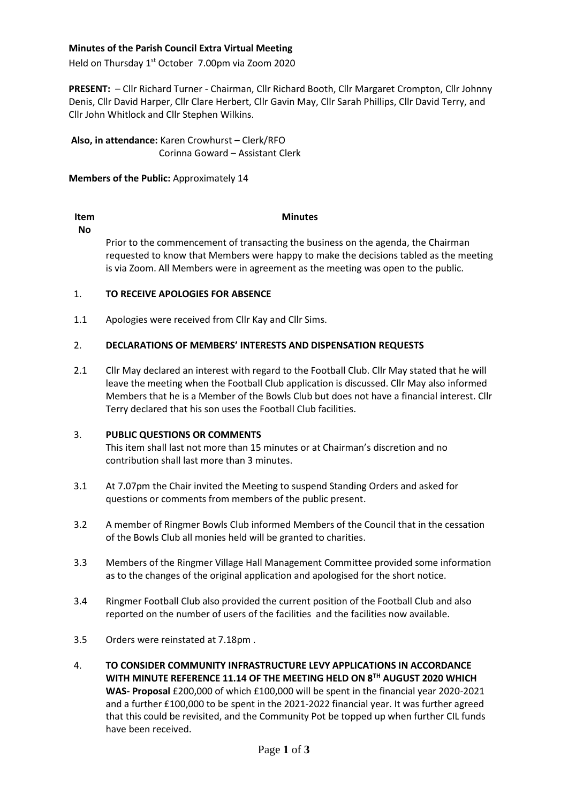## **Minutes of the Parish Council Extra Virtual Meeting**

Held on Thursday 1<sup>st</sup> October 7.00pm via Zoom 2020

**PRESENT:** – Cllr Richard Turner - Chairman, Cllr Richard Booth, Cllr Margaret Crompton, Cllr Johnny Denis, Cllr David Harper, Cllr Clare Herbert, Cllr Gavin May, Cllr Sarah Phillips, Cllr David Terry, and Cllr John Whitlock and Cllr Stephen Wilkins.

**Also, in attendance:** Karen Crowhurst – Clerk/RFO Corinna Goward – Assistant Clerk

**Members of the Public:** Approximately 14

# **Item**

## **Minutes**

**No** Prior to the commencement of transacting the business on the agenda, the Chairman requested to know that Members were happy to make the decisions tabled as the meeting is via Zoom. All Members were in agreement as the meeting was open to the public.

#### 1. **TO RECEIVE APOLOGIES FOR ABSENCE**

1.1 Apologies were received from Cllr Kay and Cllr Sims.

#### 2. **DECLARATIONS OF MEMBERS' INTERESTS AND DISPENSATION REQUESTS**

2.1 Cllr May declared an interest with regard to the Football Club. Cllr May stated that he will leave the meeting when the Football Club application is discussed. Cllr May also informed Members that he is a Member of the Bowls Club but does not have a financial interest. Cllr Terry declared that his son uses the Football Club facilities.

#### 3. **PUBLIC QUESTIONS OR COMMENTS**

This item shall last not more than 15 minutes or at Chairman's discretion and no contribution shall last more than 3 minutes.

- 3.1 At 7.07pm the Chair invited the Meeting to suspend Standing Orders and asked for questions or comments from members of the public present.
- 3.2 A member of Ringmer Bowls Club informed Members of the Council that in the cessation of the Bowls Club all monies held will be granted to charities.
- 3.3 Members of the Ringmer Village Hall Management Committee provided some information as to the changes of the original application and apologised for the short notice.
- 3.4 Ringmer Football Club also provided the current position of the Football Club and also reported on the number of users of the facilities and the facilities now available.
- 3.5 Orders were reinstated at 7.18pm .
- 4. **TO CONSIDER COMMUNITY INFRASTRUCTURE LEVY APPLICATIONS IN ACCORDANCE WITH MINUTE REFERENCE 11.14 OF THE MEETING HELD ON 8TH AUGUST 2020 WHICH WAS- Proposal** £200,000 of which £100,000 will be spent in the financial year 2020-2021 and a further £100,000 to be spent in the 2021-2022 financial year. It was further agreed that this could be revisited, and the Community Pot be topped up when further CIL funds have been received.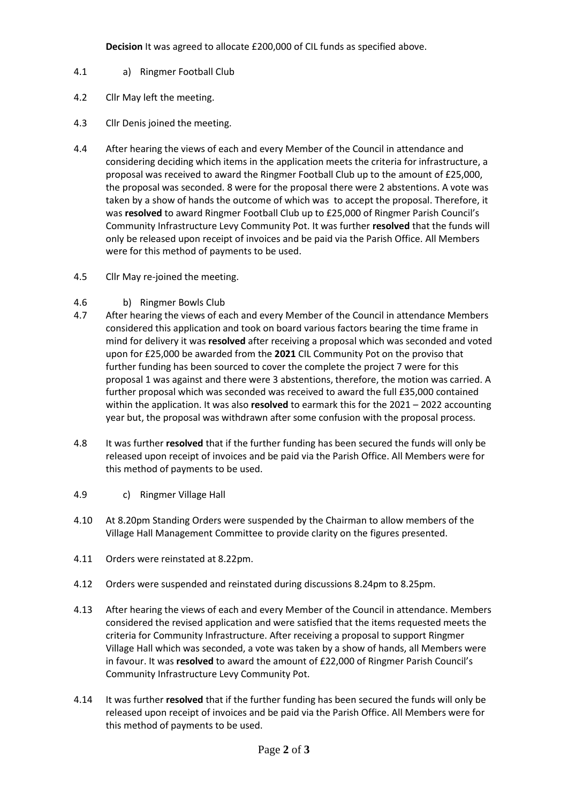**Decision** It was agreed to allocate £200,000 of CIL funds as specified above.

- 4.1 a) Ringmer Football Club
- 4.2 Cllr May left the meeting.
- 4.3 Cllr Denis joined the meeting.
- 4.4 After hearing the views of each and every Member of the Council in attendance and considering deciding which items in the application meets the criteria for infrastructure, a proposal was received to award the Ringmer Football Club up to the amount of £25,000, the proposal was seconded. 8 were for the proposal there were 2 abstentions. A vote was taken by a show of hands the outcome of which was to accept the proposal. Therefore, it was **resolved** to award Ringmer Football Club up to £25,000 of Ringmer Parish Council's Community Infrastructure Levy Community Pot. It was further **resolved** that the funds will only be released upon receipt of invoices and be paid via the Parish Office. All Members were for this method of payments to be used.
- 4.5 Cllr May re-joined the meeting.
- 4.6 b) Ringmer Bowls Club
- 4.7 After hearing the views of each and every Member of the Council in attendance Members considered this application and took on board various factors bearing the time frame in mind for delivery it was **resolved** after receiving a proposal which was seconded and voted upon for £25,000 be awarded from the **2021** CIL Community Pot on the proviso that further funding has been sourced to cover the complete the project 7 were for this proposal 1 was against and there were 3 abstentions, therefore, the motion was carried. A further proposal which was seconded was received to award the full £35,000 contained within the application. It was also **resolved** to earmark this for the 2021 – 2022 accounting year but, the proposal was withdrawn after some confusion with the proposal process.
- 4.8 It was further **resolved** that if the further funding has been secured the funds will only be released upon receipt of invoices and be paid via the Parish Office. All Members were for this method of payments to be used.
- 4.9 c) Ringmer Village Hall
- 4.10 At 8.20pm Standing Orders were suspended by the Chairman to allow members of the Village Hall Management Committee to provide clarity on the figures presented.
- 4.11 Orders were reinstated at 8.22pm.
- 4.12 Orders were suspended and reinstated during discussions 8.24pm to 8.25pm.
- 4.13 After hearing the views of each and every Member of the Council in attendance. Members considered the revised application and were satisfied that the items requested meets the criteria for Community Infrastructure. After receiving a proposal to support Ringmer Village Hall which was seconded, a vote was taken by a show of hands, all Members were in favour. It was **resolved** to award the amount of £22,000 of Ringmer Parish Council's Community Infrastructure Levy Community Pot.
- 4.14 It was further **resolved** that if the further funding has been secured the funds will only be released upon receipt of invoices and be paid via the Parish Office. All Members were for this method of payments to be used.